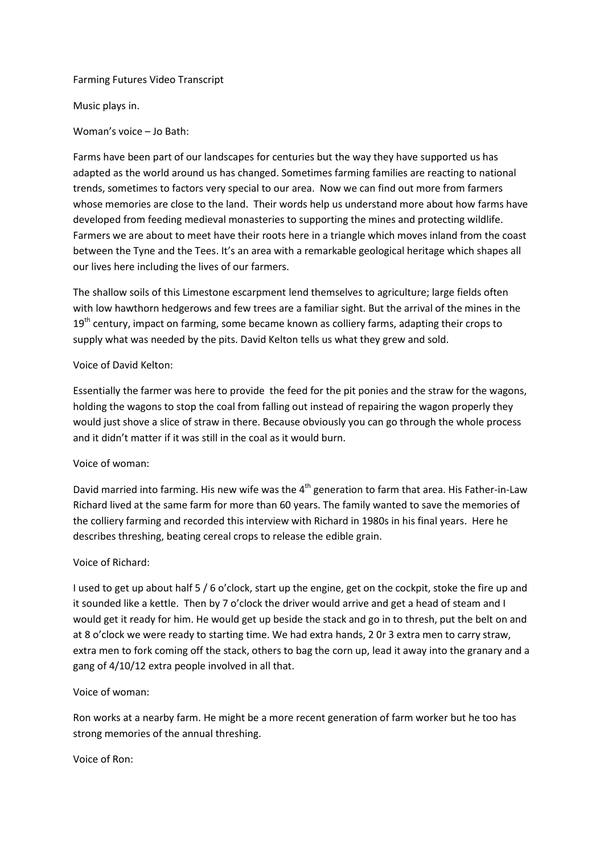### Farming Futures Video Transcript

Music plays in.

Woman's voice – Jo Bath:

Farms have been part of our landscapes for centuries but the way they have supported us has adapted as the world around us has changed. Sometimes farming families are reacting to national trends, sometimes to factors very special to our area. Now we can find out more from farmers whose memories are close to the land. Their words help us understand more about how farms have developed from feeding medieval monasteries to supporting the mines and protecting wildlife. Farmers we are about to meet have their roots here in a triangle which moves inland from the coast between the Tyne and the Tees. It's an area with a remarkable geological heritage which shapes all our lives here including the lives of our farmers.

The shallow soils of this Limestone escarpment lend themselves to agriculture; large fields often with low hawthorn hedgerows and few trees are a familiar sight. But the arrival of the mines in the  $19<sup>th</sup>$  century, impact on farming, some became known as colliery farms, adapting their crops to supply what was needed by the pits. David Kelton tells us what they grew and sold.

#### Voice of David Kelton:

Essentially the farmer was here to provide the feed for the pit ponies and the straw for the wagons, holding the wagons to stop the coal from falling out instead of repairing the wagon properly they would just shove a slice of straw in there. Because obviously you can go through the whole process and it didn't matter if it was still in the coal as it would burn.

### Voice of woman:

David married into farming. His new wife was the 4<sup>th</sup> generation to farm that area. His Father-in-Law Richard lived at the same farm for more than 60 years. The family wanted to save the memories of the colliery farming and recorded this interview with Richard in 1980s in his final years. Here he describes threshing, beating cereal crops to release the edible grain.

### Voice of Richard:

I used to get up about half 5 / 6 o'clock, start up the engine, get on the cockpit, stoke the fire up and it sounded like a kettle. Then by 7 o'clock the driver would arrive and get a head of steam and I would get it ready for him. He would get up beside the stack and go in to thresh, put the belt on and at 8 o'clock we were ready to starting time. We had extra hands, 2 0r 3 extra men to carry straw, extra men to fork coming off the stack, others to bag the corn up, lead it away into the granary and a gang of 4/10/12 extra people involved in all that.

### Voice of woman:

Ron works at a nearby farm. He might be a more recent generation of farm worker but he too has strong memories of the annual threshing.

Voice of Ron: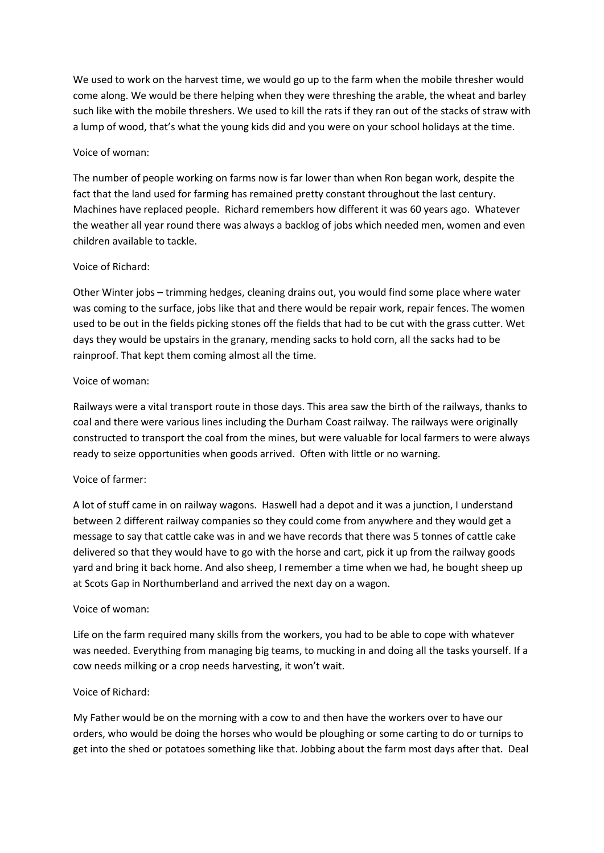We used to work on the harvest time, we would go up to the farm when the mobile thresher would come along. We would be there helping when they were threshing the arable, the wheat and barley such like with the mobile threshers. We used to kill the rats if they ran out of the stacks of straw with a lump of wood, that's what the young kids did and you were on your school holidays at the time.

## Voice of woman:

The number of people working on farms now is far lower than when Ron began work, despite the fact that the land used for farming has remained pretty constant throughout the last century. Machines have replaced people. Richard remembers how different it was 60 years ago. Whatever the weather all year round there was always a backlog of jobs which needed men, women and even children available to tackle.

## Voice of Richard:

Other Winter jobs – trimming hedges, cleaning drains out, you would find some place where water was coming to the surface, jobs like that and there would be repair work, repair fences. The women used to be out in the fields picking stones off the fields that had to be cut with the grass cutter. Wet days they would be upstairs in the granary, mending sacks to hold corn, all the sacks had to be rainproof. That kept them coming almost all the time.

## Voice of woman:

Railways were a vital transport route in those days. This area saw the birth of the railways, thanks to coal and there were various lines including the Durham Coast railway. The railways were originally constructed to transport the coal from the mines, but were valuable for local farmers to were always ready to seize opportunities when goods arrived. Often with little or no warning.

# Voice of farmer:

A lot of stuff came in on railway wagons. Haswell had a depot and it was a junction, I understand between 2 different railway companies so they could come from anywhere and they would get a message to say that cattle cake was in and we have records that there was 5 tonnes of cattle cake delivered so that they would have to go with the horse and cart, pick it up from the railway goods yard and bring it back home. And also sheep, I remember a time when we had, he bought sheep up at Scots Gap in Northumberland and arrived the next day on a wagon.

### Voice of woman:

Life on the farm required many skills from the workers, you had to be able to cope with whatever was needed. Everything from managing big teams, to mucking in and doing all the tasks yourself. If a cow needs milking or a crop needs harvesting, it won't wait.

# Voice of Richard:

My Father would be on the morning with a cow to and then have the workers over to have our orders, who would be doing the horses who would be ploughing or some carting to do or turnips to get into the shed or potatoes something like that. Jobbing about the farm most days after that. Deal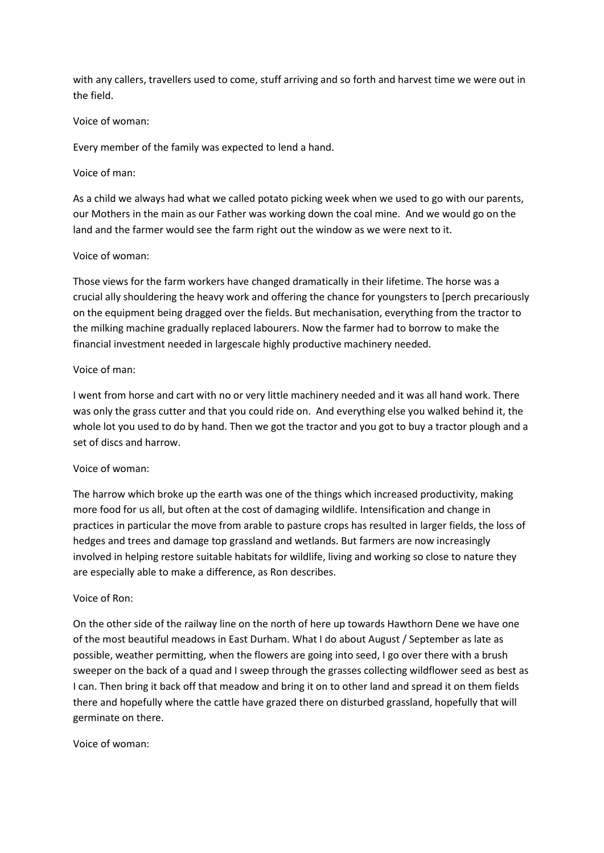with any callers, travellers used to come, stuff arriving and so forth and harvest time we were out in the field.

#### Voice of woman:

Every member of the family was expected to lend a hand.

#### Voice of man:

As a child we always had what we called potato picking week when we used to go with our parents, our Mothers in the main as our Father was working down the coal mine. And we would go on the land and the farmer would see the farm right out the window as we were next to it.

#### Voice of woman:

Those views for the farm workers have changed dramatically in their lifetime. The horse was a crucial ally shouldering the heavy work and offering the chance for youngsters to [perch precariously on the equipment being dragged over the fields. But mechanisation, everything from the tractor to the milking machine gradually replaced labourers. Now the farmer had to borrow to make the financial investment needed in largescale highly productive machinery needed.

#### Voice of man:

I went from horse and cart with no or very little machinery needed and it was all hand work. There was only the grass cutter and that you could ride on. And everything else you walked behind it, the whole lot you used to do by hand. Then we got the tractor and you got to buy a tractor plough and a set of discs and harrow.

#### Voice of woman:

The harrow which broke up the earth was one of the things which increased productivity, making more food for us all, but often at the cost of damaging wildlife. Intensification and change in practices in particular the move from arable to pasture crops has resulted in larger fields, the loss of hedges and trees and damage top grassland and wetlands. But farmers are now increasingly involved in helping restore suitable habitats for wildlife, living and working so close to nature they are especially able to make a difference, as Ron describes.

#### Voice of Ron:

On the other side of the railway line on the north of here up towards Hawthorn Dene we have one of the most beautiful meadows in East Durham. What I do about August / September as late as possible, weather permitting, when the flowers are going into seed, I go over there with a brush sweeper on the back of a quad and I sweep through the grasses collecting wildflower seed as best as I can. Then bring it back off that meadow and bring it on to other land and spread it on them fields there and hopefully where the cattle have grazed there on disturbed grassland, hopefully that will germinate on there.

Voice of woman: